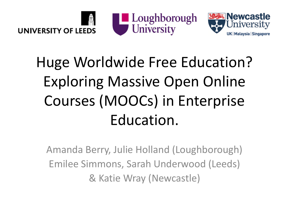





## Huge Worldwide Free Education? Exploring Massive Open Online Courses (MOOCs) in Enterprise Education.

Amanda Berry, Julie Holland (Loughborough) Emilee Simmons, Sarah Underwood (Leeds) & Katie Wray (Newcastle)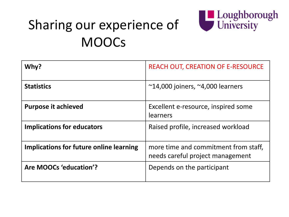

#### Sharing our experience of **MOOCs**

| Why?                                    | <b>REACH OUT, CREATION OF E-RESOURCE</b>                                 |
|-----------------------------------------|--------------------------------------------------------------------------|
| <b>Statistics</b>                       | $~$ ~14,000 joiners, ~4,000 learners                                     |
| <b>Purpose it achieved</b>              | Excellent e-resource, inspired some<br>learners                          |
| <b>Implications for educators</b>       | Raised profile, increased workload                                       |
| Implications for future online learning | more time and commitment from staff,<br>needs careful project management |
| Are MOOCs 'education'?                  | Depends on the participant                                               |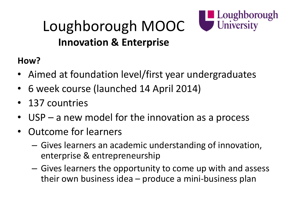

#### Loughborough MOOC **Innovation & Enterprise**

#### **How?**

- Aimed at foundation level/first year undergraduates
- 6 week course (launched 14 April 2014)
- 137 countries
- USP a new model for the innovation as a process
- Outcome for learners
	- Gives learners an academic understanding of innovation, enterprise & entrepreneurship
	- Gives learners the opportunity to come up with and assess their own business idea – produce a mini-business plan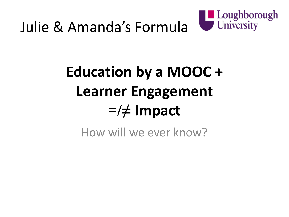

### Julie & Amanda's Formula

# **Education by a MOOC + Learner Engagement =/≠ Impact**

How will we ever know?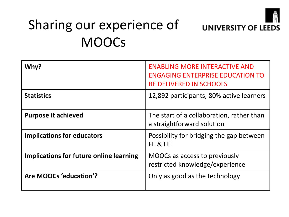

### Sharing our experience of **MOOCs**

| Why?                                    | <b>ENABLING MORE INTERACTIVE AND</b><br><b>ENGAGING ENTERPRISE EDUCATION TO</b><br><b>BE DELIVERED IN SCHOOLS</b> |
|-----------------------------------------|-------------------------------------------------------------------------------------------------------------------|
| <b>Statistics</b>                       | 12,892 participants, 80% active learners                                                                          |
| <b>Purpose it achieved</b>              | The start of a collaboration, rather than<br>a straightforward solution                                           |
| <b>Implications for educators</b>       | Possibility for bridging the gap between<br>FE & HE                                                               |
| Implications for future online learning | MOOCs as access to previously<br>restricted knowledge/experience                                                  |
| Are MOOCs 'education'?                  | Only as good as the technology                                                                                    |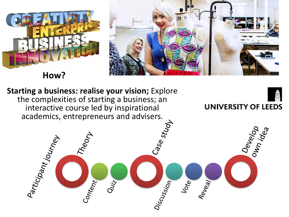

**How?**



**Starting a business: realise your vision;** Explore the complexities of starting a business; an **UNIVERSITY OF LEEDS** interactive course led by inspirational academics, entrepreneurs and advisers.<br>  $\vec{r}$  and  $\vec{r}$  and  $\vec{r}$  and  $\vec{r}$  and  $\vec{r}$  and  $\vec{r}$  and  $\vec{r}$ Develop **Theory** Participant journey Content<br>Quiz Vote<br>Reveal Discussion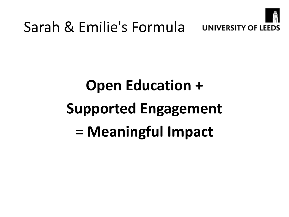

# **Open Education + Supported Engagement = Meaningful Impact**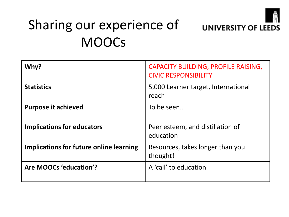

### Sharing our experience of **MOOCs**

| Why?                                    | CAPACITY BUILDING, PROFILE RAISING,<br><b>CIVIC RESPONSIBILITY</b> |
|-----------------------------------------|--------------------------------------------------------------------|
| <b>Statistics</b>                       | 5,000 Learner target, International<br>reach                       |
| <b>Purpose it achieved</b>              | To be seen                                                         |
| <b>Implications for educators</b>       | Peer esteem, and distillation of<br>education                      |
| Implications for future online learning | Resources, takes longer than you<br>thought!                       |
| Are MOOCs 'education'?                  | A 'call' to education                                              |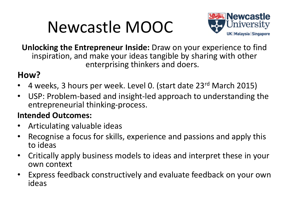## Newcastle MOOC



**Unlocking the Entrepreneur Inside:** Draw on your experience to find inspiration, and make your ideas tangible by sharing with other enterprising thinkers and doers.

#### **How?**

- 4 weeks, 3 hours per week. Level 0. (start date 23rd March 2015)
- USP: Problem-based and insight-led approach to understanding the entrepreneurial thinking-process.

#### **Intended Outcomes:**

- Articulating valuable ideas
- Recognise a focus for skills, experience and passions and apply this to ideas
- Critically apply business models to ideas and interpret these in your own context
- Express feedback constructively and evaluate feedback on your own ideas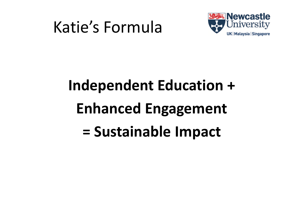### Katie's Formula



# **Independent Education + Enhanced Engagement = Sustainable Impact**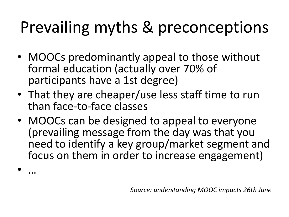## Prevailing myths & preconceptions

- MOOCs predominantly appeal to those without formal education (actually over 70% of participants have a 1st degree)
- That they are cheaper/use less staff time to run than face-to-face classes
- MOOCs can be designed to appeal to everyone (prevailing message from the day was that you need to identify a key group/market segment and focus on them in order to increase engagement)

• …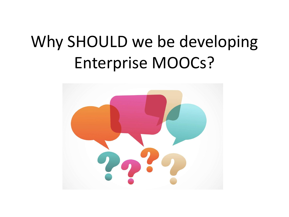## Why SHOULD we be developing Enterprise MOOCs?

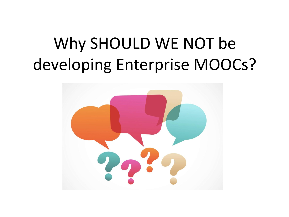# Why SHOULD WE NOT be developing Enterprise MOOCs?